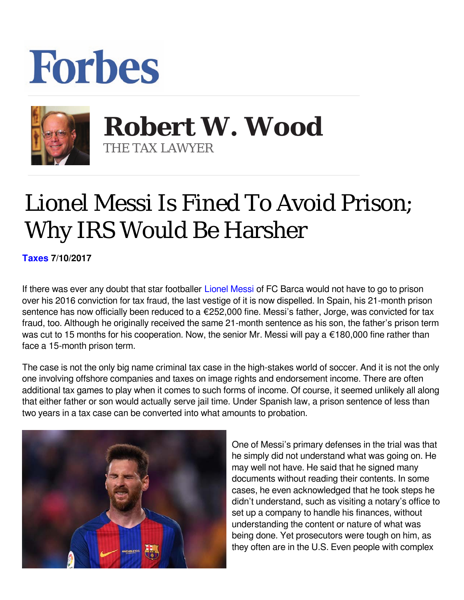## **Forbes**



 **Robert W. Wood** THE TAX LAWYER

## Lionel Messi Is Fined To Avoid Prison; Why IRS Would Be Harsher

**[Taxes](https://www.forbes.com/taxes) 7/10/2017** 

If there was ever any doubt that star footballer [Lionel Messi](http://www.forbes.com/profile/lionel-messi/) of FC Barca would not have to go to prison over his 2016 conviction for tax fraud, the last vestige of it is now dispelled. In Spain, his 21-month prison sentence has now officially been reduced to a €252,000 fine. Messi's father, Jorge, was convicted for tax fraud, too. Although he originally received the same 21-month sentence as his son, the father's prison term was cut to 15 months for his cooperation. Now, the senior Mr. Messi will pay a €180,000 fine rather than face a 15-month prison term.

The case is not the only big name criminal tax case in the high-stakes world of soccer. And it is not the only one involving offshore companies and taxes on image rights and endorsement income. There are often additional tax games to play when it comes to such forms of income. Of course, it seemed unlikely all along that either father or son would actually serve jail time. Under Spanish law, a prison sentence of less than two years in a tax case can be converted into what amounts to probation.



One of Messi's primary defenses in the trial was that he simply did not understand what was going on. He may well not have. He said that he signed many documents without reading their contents. In some cases, he even acknowledged that he took steps he didn't understand, such as visiting a notary's office to set up a company to handle his finances, without understanding the content or nature of what was being done. Yet prosecutors were tough on him, as they often are in the U.S. Even people with complex